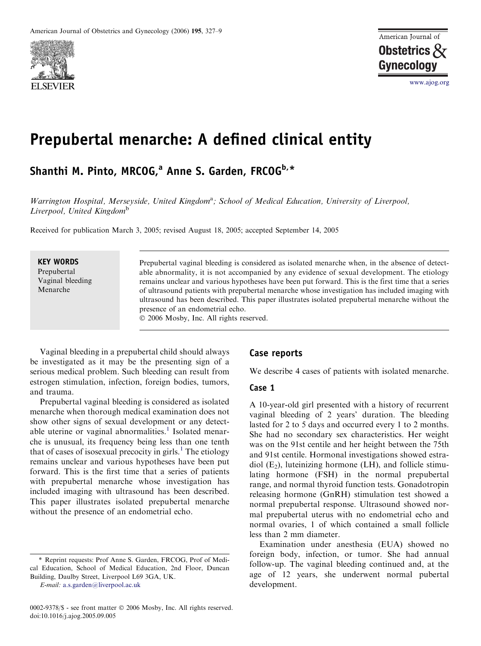



[www.ajog.org](http://www.ajog.org)

# Prepubertal menarche: A defined clinical entity

Shanthi M. Pinto, MRCOG,<sup>a</sup> Anne S. Garden, FRCOG<sup>b,\*</sup>

Warrington Hospital, Merseyside, United Kingdom<sup>a</sup>; School of Medical Education, University of Liverpool, Liverpool, United Kingdom<sup>b</sup>

Received for publication March 3, 2005; revised August 18, 2005; accepted September 14, 2005

KEY WORDS Prepubertal Vaginal bleeding Menarche

Prepubertal vaginal bleeding is considered as isolated menarche when, in the absence of detectable abnormality, it is not accompanied by any evidence of sexual development. The etiology remains unclear and various hypotheses have been put forward. This is the first time that a series of ultrasound patients with prepubertal menarche whose investigation has included imaging with ultrasound has been described. This paper illustrates isolated prepubertal menarche without the presence of an endometrial echo.

2006 Mosby, Inc. All rights reserved.

Vaginal bleeding in a prepubertal child should always be investigated as it may be the presenting sign of a serious medical problem. Such bleeding can result from estrogen stimulation, infection, foreign bodies, tumors, and trauma.

Prepubertal vaginal bleeding is considered as isolated menarche when thorough medical examination does not show other signs of sexual development or any detectable uterine or vaginal abnormalities. $<sup>1</sup>$  $<sup>1</sup>$  $<sup>1</sup>$  Isolated menar-</sup> che is unusual, its frequency being less than one tenth that of cases of isosexual precocity in girls.<sup>[1](#page-2-0)</sup> The etiology remains unclear and various hypotheses have been put forward. This is the first time that a series of patients with prepubertal menarche whose investigation has included imaging with ultrasound has been described. This paper illustrates isolated prepubertal menarche without the presence of an endometrial echo.

E-mail: [a.s.garden@liverpool.ac.uk](mailto:a.s.garden@liverpool.ac.uk)

## Case reports

We describe 4 cases of patients with isolated menarche.

#### Case 1

A 10-year-old girl presented with a history of recurrent vaginal bleeding of 2 years' duration. The bleeding lasted for 2 to 5 days and occurred every 1 to 2 months. She had no secondary sex characteristics. Her weight was on the 91st centile and her height between the 75th and 91st centile. Hormonal investigations showed estradiol  $(E_2)$ , luteinizing hormone (LH), and follicle stimulating hormone (FSH) in the normal prepubertal range, and normal thyroid function tests. Gonadotropin releasing hormone (GnRH) stimulation test showed a normal prepubertal response. Ultrasound showed normal prepubertal uterus with no endometrial echo and normal ovaries, 1 of which contained a small follicle less than 2 mm diameter.

Examination under anesthesia (EUA) showed no foreign body, infection, or tumor. She had annual follow-up. The vaginal bleeding continued and, at the age of 12 years, she underwent normal pubertal development.

<sup>\*</sup> Reprint requests: Prof Anne S. Garden, FRCOG, Prof of Medical Education, School of Medical Education, 2nd Floor, Duncan Building, Daulby Street, Liverpool L69 3GA, UK.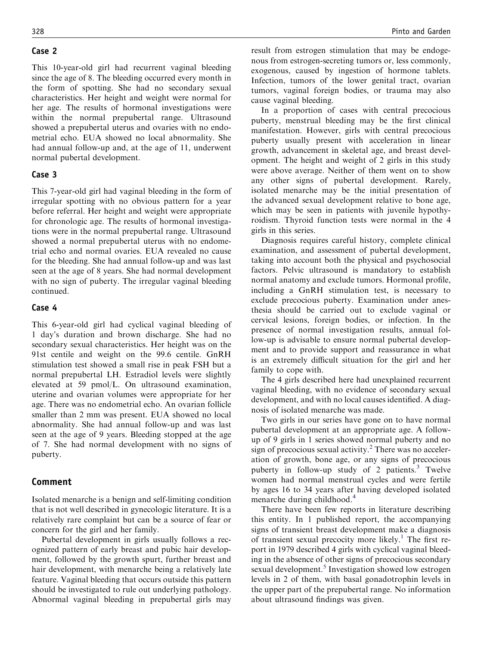#### Case 2

This 10-year-old girl had recurrent vaginal bleeding since the age of 8. The bleeding occurred every month in the form of spotting. She had no secondary sexual characteristics. Her height and weight were normal for her age. The results of hormonal investigations were within the normal prepubertal range. Ultrasound showed a prepubertal uterus and ovaries with no endometrial echo. EUA showed no local abnormality. She had annual follow-up and, at the age of 11, underwent normal pubertal development.

## Case 3

This 7-year-old girl had vaginal bleeding in the form of irregular spotting with no obvious pattern for a year before referral. Her height and weight were appropriate for chronologic age. The results of hormonal investigations were in the normal prepubertal range. Ultrasound showed a normal prepubertal uterus with no endometrial echo and normal ovaries. EUA revealed no cause for the bleeding. She had annual follow-up and was last seen at the age of 8 years. She had normal development with no sign of puberty. The irregular vaginal bleeding continued.

### Case 4

This 6-year-old girl had cyclical vaginal bleeding of 1 day's duration and brown discharge. She had no secondary sexual characteristics. Her height was on the 91st centile and weight on the 99.6 centile. GnRH stimulation test showed a small rise in peak FSH but a normal prepubertal LH. Estradiol levels were slightly elevated at 59 pmol/L. On ultrasound examination, uterine and ovarian volumes were appropriate for her age. There was no endometrial echo. An ovarian follicle smaller than 2 mm was present. EUA showed no local abnormality. She had annual follow-up and was last seen at the age of 9 years. Bleeding stopped at the age of 7. She had normal development with no signs of puberty.

## Comment

Isolated menarche is a benign and self-limiting condition that is not well described in gynecologic literature. It is a relatively rare complaint but can be a source of fear or concern for the girl and her family.

Pubertal development in girls usually follows a recognized pattern of early breast and pubic hair development, followed by the growth spurt, further breast and hair development, with menarche being a relatively late feature. Vaginal bleeding that occurs outside this pattern should be investigated to rule out underlying pathology. Abnormal vaginal bleeding in prepubertal girls may

result from estrogen stimulation that may be endogenous from estrogen-secreting tumors or, less commonly, exogenous, caused by ingestion of hormone tablets. Infection, tumors of the lower genital tract, ovarian tumors, vaginal foreign bodies, or trauma may also cause vaginal bleeding.

In a proportion of cases with central precocious puberty, menstrual bleeding may be the first clinical manifestation. However, girls with central precocious puberty usually present with acceleration in linear growth, advancement in skeletal age, and breast development. The height and weight of 2 girls in this study were above average. Neither of them went on to show any other signs of pubertal development. Rarely, isolated menarche may be the initial presentation of the advanced sexual development relative to bone age, which may be seen in patients with juvenile hypothyroidism. Thyroid function tests were normal in the 4 girls in this series.

Diagnosis requires careful history, complete clinical examination, and assessment of pubertal development, taking into account both the physical and psychosocial factors. Pelvic ultrasound is mandatory to establish normal anatomy and exclude tumors. Hormonal profile, including a GnRH stimulation test, is necessary to exclude precocious puberty. Examination under anesthesia should be carried out to exclude vaginal or cervical lesions, foreign bodies, or infection. In the presence of normal investigation results, annual follow-up is advisable to ensure normal pubertal development and to provide support and reassurance in what is an extremely difficult situation for the girl and her family to cope with.

The 4 girls described here had unexplained recurrent vaginal bleeding, with no evidence of secondary sexual development, and with no local causes identified. A diagnosis of isolated menarche was made.

Two girls in our series have gone on to have normal pubertal development at an appropriate age. A followup of 9 girls in 1 series showed normal puberty and no sign of precocious sexual activity.<sup>[2](#page-2-0)</sup> There was no acceleration of growth, bone age, or any signs of precocious puberty in follow-up study of 2 patients.<sup>[3](#page-2-0)</sup> Twelve women had normal menstrual cycles and were fertile by ages 16 to 34 years after having developed isolated menarche during childhood.[4](#page-2-0)

There have been few reports in literature describing this entity. In 1 published report, the accompanying signs of transient breast development make a diagnosis of transient sexual precocity more likely.<sup>[1](#page-2-0)</sup> The first report in 1979 described 4 girls with cyclical vaginal bleeding in the absence of other signs of precocious secondary sexual development.<sup>[5](#page-2-0)</sup> Investigation showed low estrogen levels in 2 of them, with basal gonadotrophin levels in the upper part of the prepubertal range. No information about ultrasound findings was given.